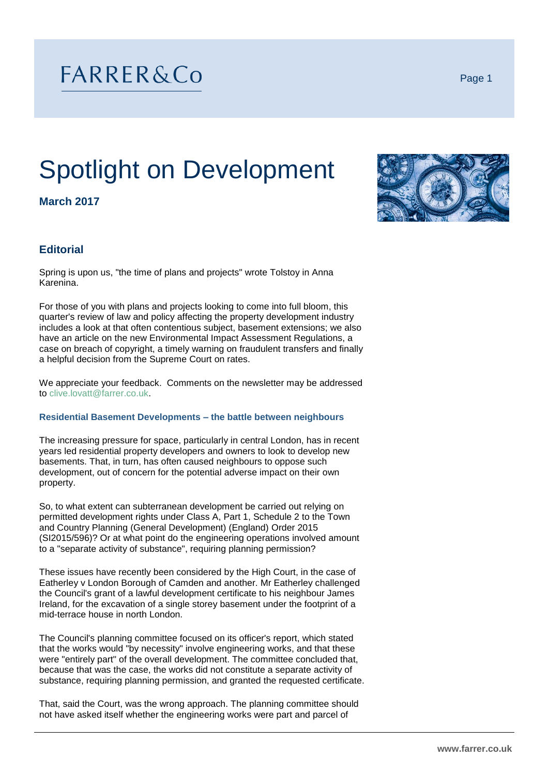### **FARRER&Co**

# Spotlight on Development

**March 2017**



#### **Editorial**

Spring is upon us, "the time of plans and projects" wrote Tolstoy in Anna Karenina.

For those of you with plans and projects looking to come into full bloom, this quarter's review of law and policy affecting the property development industry includes a look at that often contentious subject, basement extensions; we also have an article on the new Environmental Impact Assessment Regulations, a case on breach of copyright, a timely warning on fraudulent transfers and finally a helpful decision from the Supreme Court on rates.

We appreciate your feedback. Comments on the newsletter may be addressed to [clive.lovatt@farrer.co.uk.](mailto:clive.lovatt@farrer.co.uk)

#### **Residential Basement Developments – the battle between neighbours**

The increasing pressure for space, particularly in central London, has in recent years led residential property developers and owners to look to develop new basements. That, in turn, has often caused neighbours to oppose such development, out of concern for the potential adverse impact on their own property.

So, to what extent can subterranean development be carried out relying on permitted development rights under Class A, Part 1, Schedule 2 to the Town and Country Planning (General Development) (England) Order 2015 (SI2015/596)? Or at what point do the engineering operations involved amount to a "separate activity of substance", requiring planning permission?

These issues have recently been considered by the High Court, in the case of Eatherley v London Borough of Camden and another. Mr Eatherley challenged the Council's grant of a lawful development certificate to his neighbour James Ireland, for the excavation of a single storey basement under the footprint of a mid-terrace house in north London.

The Council's planning committee focused on its officer's report, which stated that the works would "by necessity" involve engineering works, and that these were "entirely part" of the overall development. The committee concluded that, because that was the case, the works did not constitute a separate activity of substance, requiring planning permission, and granted the requested certificate.

That, said the Court, was the wrong approach. The planning committee should not have asked itself whether the engineering works were part and parcel of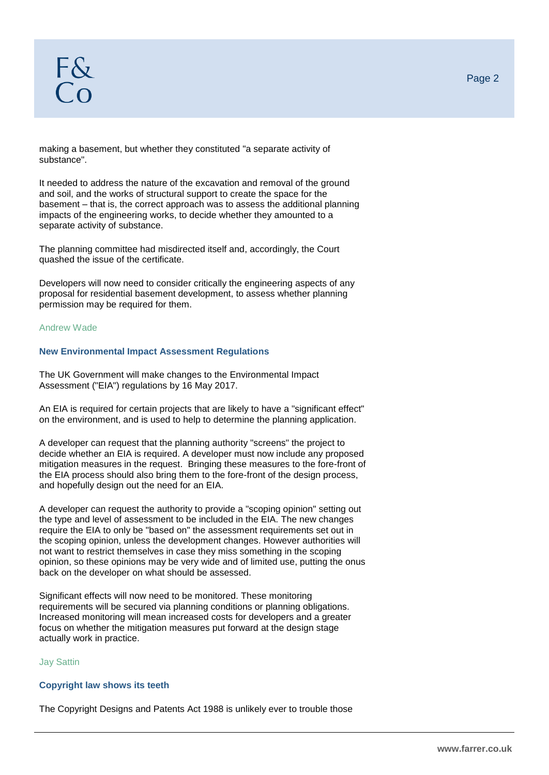making a basement, but whether they constituted "a separate activity of substance".

It needed to address the nature of the excavation and removal of the ground and soil, and the works of structural support to create the space for the basement – that is, the correct approach was to assess the additional planning impacts of the engineering works, to decide whether they amounted to a separate activity of substance.

The planning committee had misdirected itself and, accordingly, the Court quashed the issue of the certificate.

Developers will now need to consider critically the engineering aspects of any proposal for residential basement development, to assess whether planning permission may be required for them.

#### Andrew Wade

#### **New Environmental Impact Assessment Regulations**

The UK Government will make changes to the Environmental Impact Assessment ("EIA") regulations by 16 May 2017.

An EIA is required for certain projects that are likely to have a "significant effect" on the environment, and is used to help to determine the planning application.

A developer can request that the planning authority "screens" the project to decide whether an EIA is required. A developer must now include any proposed mitigation measures in the request. Bringing these measures to the fore-front of the EIA process should also bring them to the fore-front of the design process, and hopefully design out the need for an EIA.

A developer can request the authority to provide a "scoping opinion" setting out the type and level of assessment to be included in the EIA. The new changes require the EIA to only be "based on" the assessment requirements set out in the scoping opinion, unless the development changes. However authorities will not want to restrict themselves in case they miss something in the scoping opinion, so these opinions may be very wide and of limited use, putting the onus back on the developer on what should be assessed.

Significant effects will now need to be monitored. These monitoring requirements will be secured via planning conditions or planning obligations. Increased monitoring will mean increased costs for developers and a greater focus on whether the mitigation measures put forward at the design stage actually work in practice.

#### Jay Sattin

#### **Copyright law shows its teeth**

The Copyright Designs and Patents Act 1988 is unlikely ever to trouble those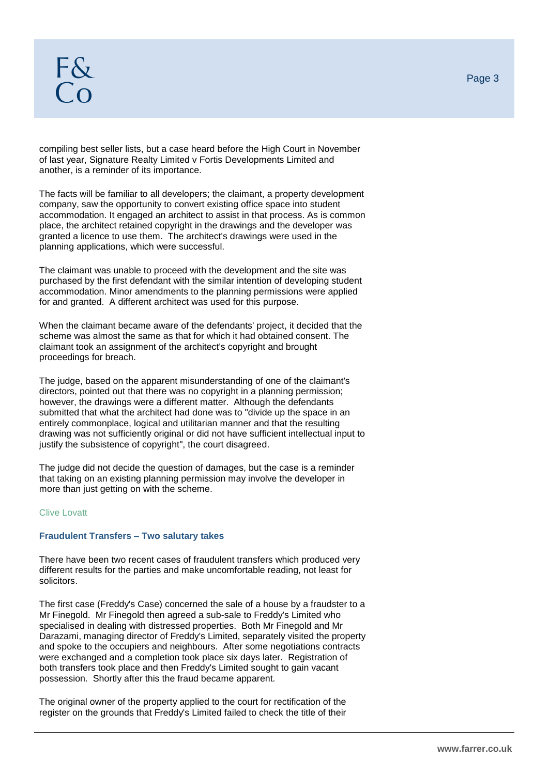compiling best seller lists, but a case heard before the High Court in November of last year, Signature Realty Limited v Fortis Developments Limited and another, is a reminder of its importance.

The facts will be familiar to all developers; the claimant, a property development company, saw the opportunity to convert existing office space into student accommodation. It engaged an architect to assist in that process. As is common place, the architect retained copyright in the drawings and the developer was granted a licence to use them. The architect's drawings were used in the planning applications, which were successful.

The claimant was unable to proceed with the development and the site was purchased by the first defendant with the similar intention of developing student accommodation. Minor amendments to the planning permissions were applied for and granted. A different architect was used for this purpose.

When the claimant became aware of the defendants' project, it decided that the scheme was almost the same as that for which it had obtained consent. The claimant took an assignment of the architect's copyright and brought proceedings for breach.

The judge, based on the apparent misunderstanding of one of the claimant's directors, pointed out that there was no copyright in a planning permission; however, the drawings were a different matter. Although the defendants submitted that what the architect had done was to "divide up the space in an entirely commonplace, logical and utilitarian manner and that the resulting drawing was not sufficiently original or did not have sufficient intellectual input to justify the subsistence of copyright", the court disagreed.

The judge did not decide the question of damages, but the case is a reminder that taking on an existing planning permission may involve the developer in more than just getting on with the scheme.

#### Clive Lovatt

#### **Fraudulent Transfers – Two salutary takes**

There have been two recent cases of fraudulent transfers which produced very different results for the parties and make uncomfortable reading, not least for solicitors.

The first case (Freddy's Case) concerned the sale of a house by a fraudster to a Mr Finegold. Mr Finegold then agreed a sub-sale to Freddy's Limited who specialised in dealing with distressed properties. Both Mr Finegold and Mr Darazami, managing director of Freddy's Limited, separately visited the property and spoke to the occupiers and neighbours. After some negotiations contracts were exchanged and a completion took place six days later. Registration of both transfers took place and then Freddy's Limited sought to gain vacant possession. Shortly after this the fraud became apparent.

The original owner of the property applied to the court for rectification of the register on the grounds that Freddy's Limited failed to check the title of their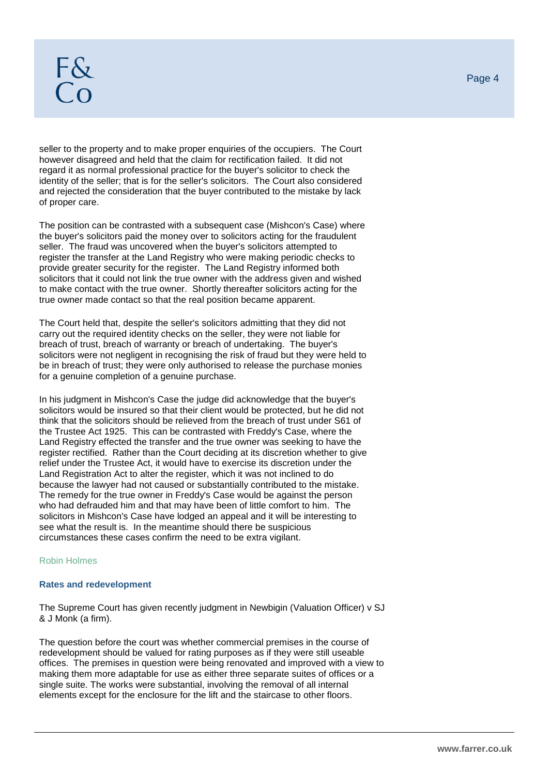## F&  $\overline{C}$

seller to the property and to make proper enquiries of the occupiers. The Court however disagreed and held that the claim for rectification failed. It did not regard it as normal professional practice for the buyer's solicitor to check the identity of the seller; that is for the seller's solicitors. The Court also considered and rejected the consideration that the buyer contributed to the mistake by lack of proper care.

The position can be contrasted with a subsequent case (Mishcon's Case) where the buyer's solicitors paid the money over to solicitors acting for the fraudulent seller. The fraud was uncovered when the buyer's solicitors attempted to register the transfer at the Land Registry who were making periodic checks to provide greater security for the register. The Land Registry informed both solicitors that it could not link the true owner with the address given and wished to make contact with the true owner. Shortly thereafter solicitors acting for the true owner made contact so that the real position became apparent.

The Court held that, despite the seller's solicitors admitting that they did not carry out the required identity checks on the seller, they were not liable for breach of trust, breach of warranty or breach of undertaking. The buyer's solicitors were not negligent in recognising the risk of fraud but they were held to be in breach of trust; they were only authorised to release the purchase monies for a genuine completion of a genuine purchase.

In his judgment in Mishcon's Case the judge did acknowledge that the buyer's solicitors would be insured so that their client would be protected, but he did not think that the solicitors should be relieved from the breach of trust under S61 of the Trustee Act 1925. This can be contrasted with Freddy's Case, where the Land Registry effected the transfer and the true owner was seeking to have the register rectified. Rather than the Court deciding at its discretion whether to give relief under the Trustee Act, it would have to exercise its discretion under the Land Registration Act to alter the register, which it was not inclined to do because the lawyer had not caused or substantially contributed to the mistake. The remedy for the true owner in Freddy's Case would be against the person who had defrauded him and that may have been of little comfort to him. The solicitors in Mishcon's Case have lodged an appeal and it will be interesting to see what the result is. In the meantime should there be suspicious circumstances these cases confirm the need to be extra vigilant.

#### Robin Holmes

#### **Rates and redevelopment**

The Supreme Court has given recently judgment in Newbigin (Valuation Officer) v SJ & J Monk (a firm).

The question before the court was whether commercial premises in the course of redevelopment should be valued for rating purposes as if they were still useable offices. The premises in question were being renovated and improved with a view to making them more adaptable for use as either three separate suites of offices or a single suite. The works were substantial, involving the removal of all internal elements except for the enclosure for the lift and the staircase to other floors.